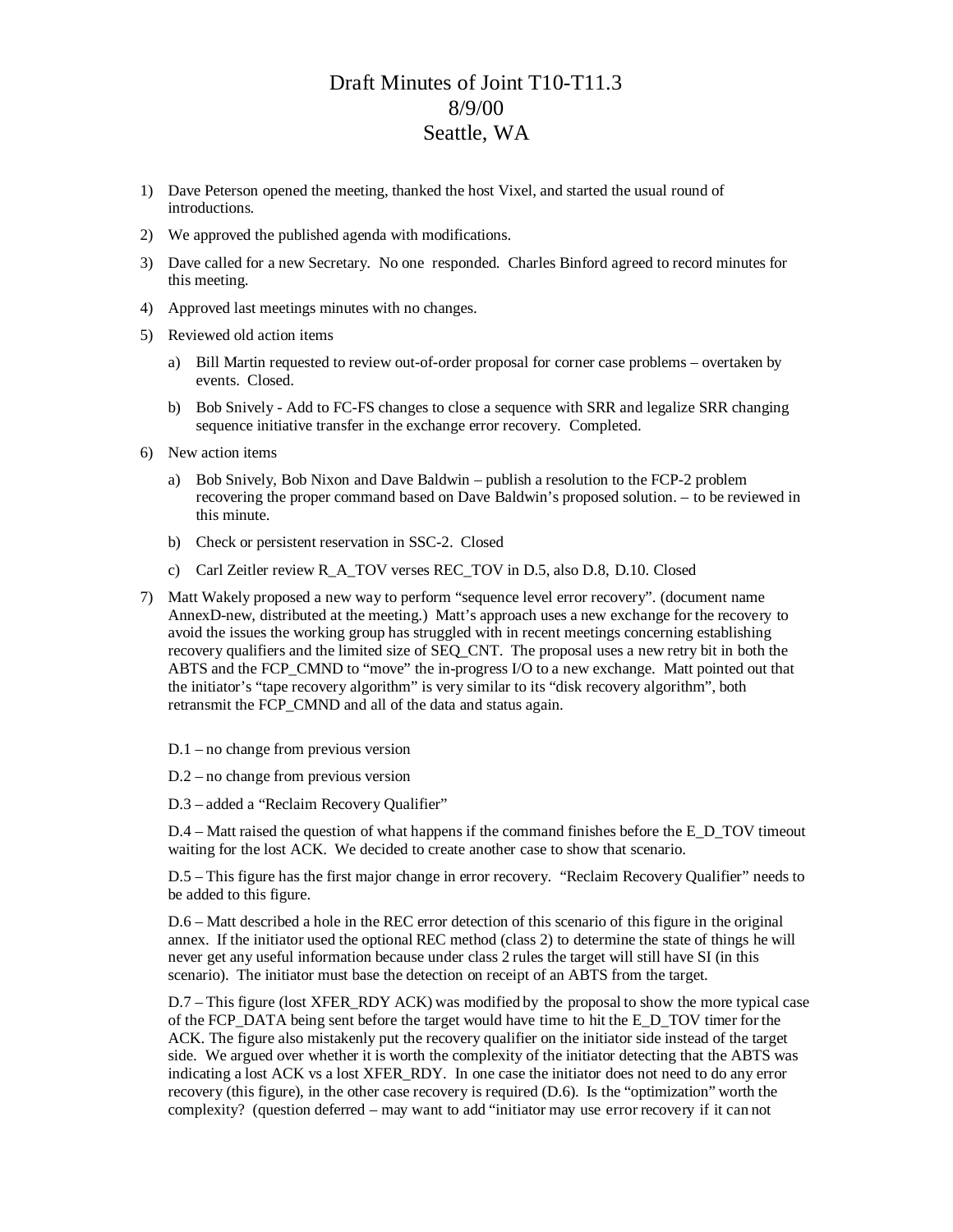## Draft Minutes of Joint T10-T11.3 8/9/00 Seattle, WA

- 1) Dave Peterson opened the meeting, thanked the host Vixel, and started the usual round of introductions.
- 2) We approved the published agenda with modifications.
- 3) Dave called for a new Secretary. No one responded. Charles Binford agreed to record minutes for this meeting.
- 4) Approved last meetings minutes with no changes.
- 5) Reviewed old action items
	- a) Bill Martin requested to review out-of-order proposal for corner case problems overtaken by events. Closed.
	- b) Bob Snively Add to FC-FS changes to close a sequence with SRR and legalize SRR changing sequence initiative transfer in the exchange error recovery. Completed.
- 6) New action items
	- a) Bob Snively, Bob Nixon and Dave Baldwin publish a resolution to the FCP-2 problem recovering the proper command based on Dave Baldwin's proposed solution. – to be reviewed in this minute.
	- b) Check or persistent reservation in SSC-2. Closed
	- c) Carl Zeitler review R\_A\_TOV verses REC\_TOV in D.5, also D.8, D.10. Closed
- 7) Matt Wakely proposed a new way to perform "sequence level error recovery". (document name AnnexD-new, distributed at the meeting.) Matt's approach uses a new exchange for the recovery to avoid the issues the working group has struggled with in recent meetings concerning establishing recovery qualifiers and the limited size of SEQ\_CNT. The proposal uses a new retry bit in both the ABTS and the FCP\_CMND to "move" the in-progress I/O to a new exchange. Matt pointed out that the initiator's "tape recovery algorithm" is very similar to its "disk recovery algorithm", both retransmit the FCP\_CMND and all of the data and status again.
	- D.1 no change from previous version
	- D.2 no change from previous version
	- D.3 added a "Reclaim Recovery Qualifier"

D.4 – Matt raised the question of what happens if the command finishes before the E\_D\_TOV timeout waiting for the lost ACK. We decided to create another case to show that scenario.

D.5 – This figure has the first major change in error recovery. "Reclaim Recovery Qualifier" needs to be added to this figure.

D.6 – Matt described a hole in the REC error detection of this scenario of this figure in the original annex. If the initiator used the optional REC method (class 2) to determine the state of things he will never get any useful information because under class 2 rules the target will still have SI (in this scenario). The initiator must base the detection on receipt of an ABTS from the target.

D.7 – This figure (lost XFER\_RDY ACK) was modified by the proposal to show the more typical case of the FCP\_DATA being sent before the target would have time to hit the E\_D\_TOV timer for the ACK. The figure also mistakenly put the recovery qualifier on the initiator side instead of the target side. We argued over whether it is worth the complexity of the initiator detecting that the ABTS was indicating a lost ACK vs a lost XFER\_RDY. In one case the initiator does not need to do any error recovery (this figure), in the other case recovery is required (D.6). Is the "optimization" worth the complexity? (question deferred – may want to add "initiator may use error recovery if it can not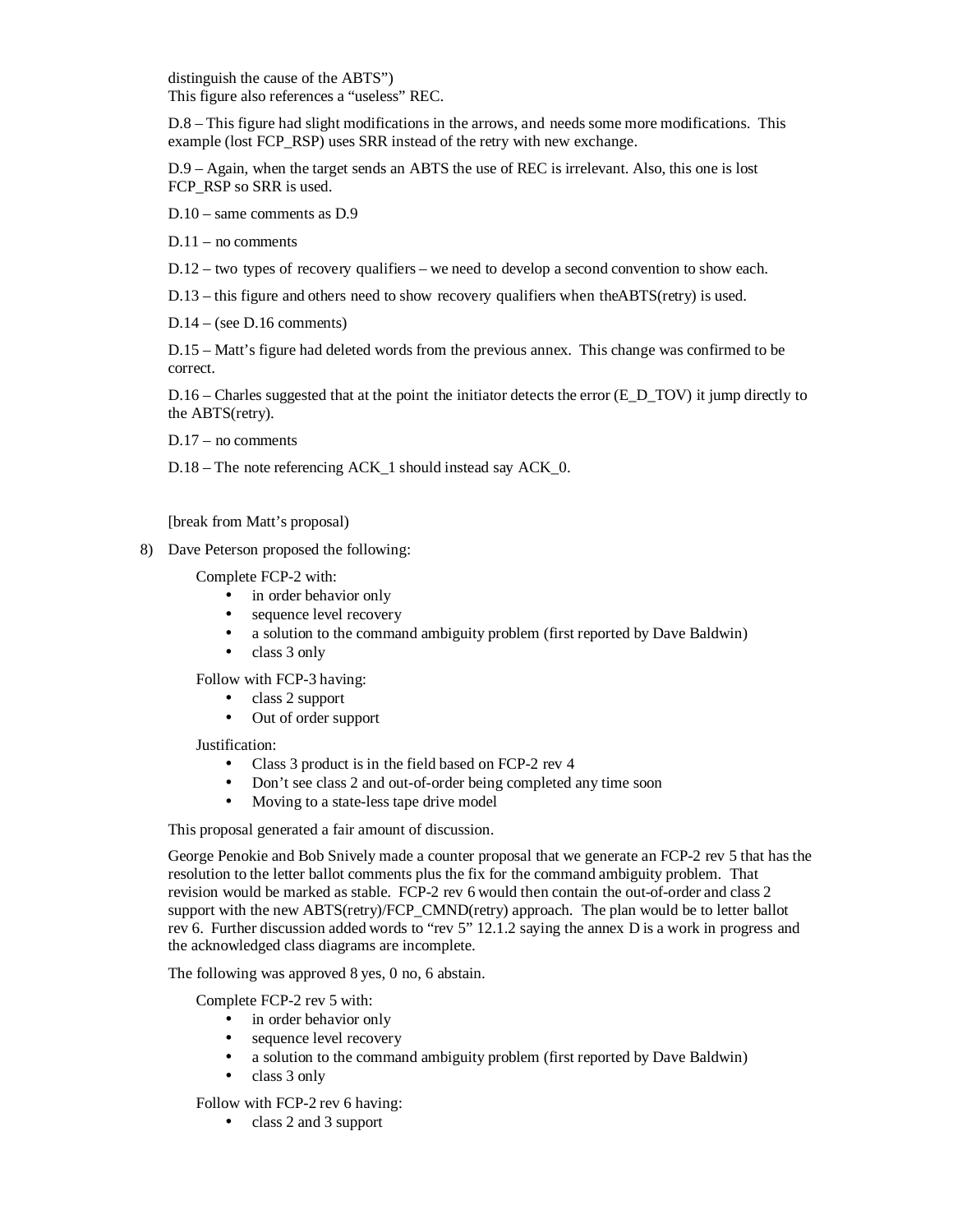distinguish the cause of the ABTS") This figure also references a "useless" REC.

D.8 – This figure had slight modifications in the arrows, and needs some more modifications. This example (lost FCP\_RSP) uses SRR instead of the retry with new exchange.

D.9 – Again, when the target sends an ABTS the use of REC is irrelevant. Also, this one is lost FCP\_RSP so SRR is used.

D.10 – same comments as D.9

D.11 – no comments

D.12 – two types of recovery qualifiers – we need to develop a second convention to show each.

 $D.13$  – this figure and others need to show recovery qualifiers when the ABTS(retry) is used.

 $D.14 - (see D.16 comments)$ 

D.15 – Matt's figure had deleted words from the previous annex. This change was confirmed to be correct.

 $D.16$  – Charles suggested that at the point the initiator detects the error (E\_D\_TOV) it jump directly to the ABTS(retry).

D.17 – no comments

D.18 – The note referencing ACK 1 should instead say ACK 0.

[break from Matt's proposal)

8) Dave Peterson proposed the following:

Complete FCP-2 with:

- in order behavior only
- sequence level recovery
- a solution to the command ambiguity problem (first reported by Dave Baldwin)
- class 3 only

Follow with FCP-3 having:

- class 2 support
- Out of order support

Justification:

- Class 3 product is in the field based on FCP-2 rev 4
- Don't see class 2 and out-of-order being completed any time soon
- Moving to a state-less tape drive model

This proposal generated a fair amount of discussion.

George Penokie and Bob Snively made a counter proposal that we generate an FCP-2 rev 5 that has the resolution to the letter ballot comments plus the fix for the command ambiguity problem. That revision would be marked as stable. FCP-2 rev 6 would then contain the out-of-order and class 2 support with the new ABTS(retry)/FCP\_CMND(retry) approach. The plan would be to letter ballot rev 6. Further discussion added words to "rev 5" 12.1.2 saying the annex D is a work in progress and the acknowledged class diagrams are incomplete.

The following was approved 8 yes, 0 no, 6 abstain.

Complete FCP-2 rev 5 with:

- in order behavior only
- sequence level recovery
- a solution to the command ambiguity problem (first reported by Dave Baldwin)
- class 3 only

Follow with FCP-2 rev 6 having:

• class 2 and 3 support